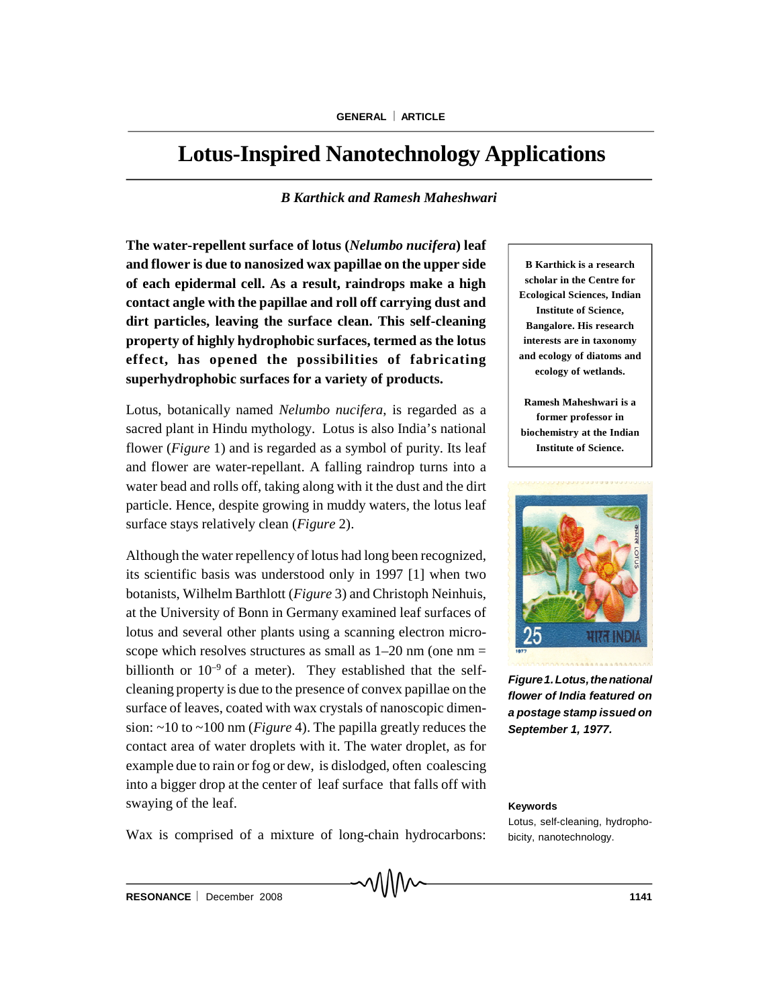# **Lotus-Inspired Nanotechnology Applications**

# *B Karthick and Ramesh Maheshwari*

**The water-repellent surface of lotus (***Nelumbo nucifera***) leaf and flower is due to nanosized wax papillae on the upper side of each epidermal cell. As a result, raindrops make a high contact angle with the papillae and roll off carrying dust and dirt particles, leaving the surface clean. This self-cleaning property of highly hydrophobic surfaces, termed as the lotus effect, has opened the possibilities of fabricating superhydrophobic surfaces for a variety of products.**

Lotus, botanically named *Nelumbo nucifera*, is regarded as a sacred plant in Hindu mythology. Lotus is also India's national flower (*Figure* 1) and is regarded as a symbol of purity. Its leaf and flower are water-repellant. A falling raindrop turns into a water bead and rolls off, taking along with it the dust and the dirt particle. Hence, despite growing in muddy waters, the lotus leaf surface stays relatively clean (*Figure* 2).

Although the water repellency of lotus had long been recognized, its scientific basis was understood only in 1997 [1] when two botanists, Wilhelm Barthlott (*Figure* 3) and Christoph Neinhuis, at the University of Bonn in Germany examined leaf surfaces of lotus and several other plants using a scanning electron microscope which resolves structures as small as  $1-20$  nm (one nm  $=$ billionth or  $10^{-9}$  of a meter). They established that the selfcleaning property is due to the presence of convex papillae on the surface of leaves, coated with wax crystals of nanoscopic dimension: ~10 to ~100 nm (*Figure* 4). The papilla greatly reduces the contact area of water droplets with it. The water droplet, as for example due to rain or fog or dew, is dislodged, often coalescing into a bigger drop at the center of leaf surface that falls off with swaying of the leaf.

**B Karthick is a research scholar in the Centre for Ecological Sciences, Indian Institute of Science, Bangalore. His research interests are in taxonomy and ecology of diatoms and ecology of wetlands.**

**Ramesh Maheshwari is a former professor in biochemistry at the Indian Institute of Science.**



*Figure1.Lotus,thenational flower of India featured on a postage stamp issued on September 1, 1977.*

#### **Keywords**

Lotus, self-cleaning, hydrophobicity, nanotechnology.

Wax is comprised of a mixture of long-chain hydrocarbons: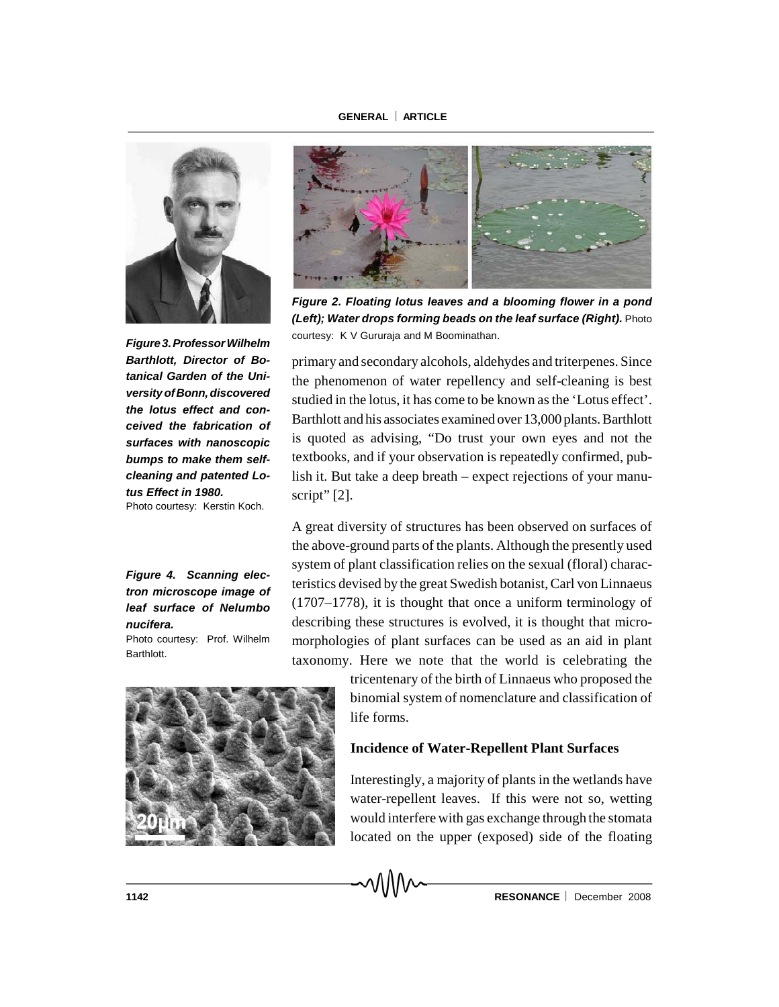#### **GENERAL ARTICLE**



*Figure3.ProfessorWilhelm Barthlott, Director of Botanical Garden of the UniversityofBonn,discovered the lotus effect and conceived the fabrication of surfaces with nanoscopic bumps to make them selfcleaning and patented Lotus Effect in 1980.* Photo courtesy: Kerstin Koch.

*Figure 4. Scanning electron microscope image of leaf surface of Nelumbo nucifera.*

Photo courtesy: Prof. Wilhelm Barthlott.





*Figure 2. Floating lotus leaves and a blooming flower in a pond (Left); Water drops forming beads on the leaf surface (Right).* Photo courtesy: K V Gururaja and M Boominathan.

primary and secondary alcohols, aldehydes and triterpenes. Since the phenomenon of water repellency and self-cleaning is best studied in the lotus, it has come to be known as the 'Lotus effect'. Barthlott and his associates examined over 13,000 plants. Barthlott is quoted as advising, "Do trust your own eyes and not the textbooks, and if your observation is repeatedly confirmed, publish it. But take a deep breath – expect rejections of your manuscript" [2].

A great diversity of structures has been observed on surfaces of the above-ground parts of the plants. Although the presently used system of plant classification relies on the sexual (floral) characteristics devised by the great Swedish botanist, Carl von Linnaeus (1707–1778), it is thought that once a uniform terminology of describing these structures is evolved, it is thought that micromorphologies of plant surfaces can be used as an aid in plant taxonomy. Here we note that the world is celebrating the

> tricentenary of the birth of Linnaeus who proposed the binomial system of nomenclature and classification of life forms.

## **Incidence of Water-Repellent Plant Surfaces**

Interestingly, a majority of plants in the wetlands have water-repellent leaves. If this were not so, wetting would interfere with gas exchange through the stomata located on the upper (exposed) side of the floating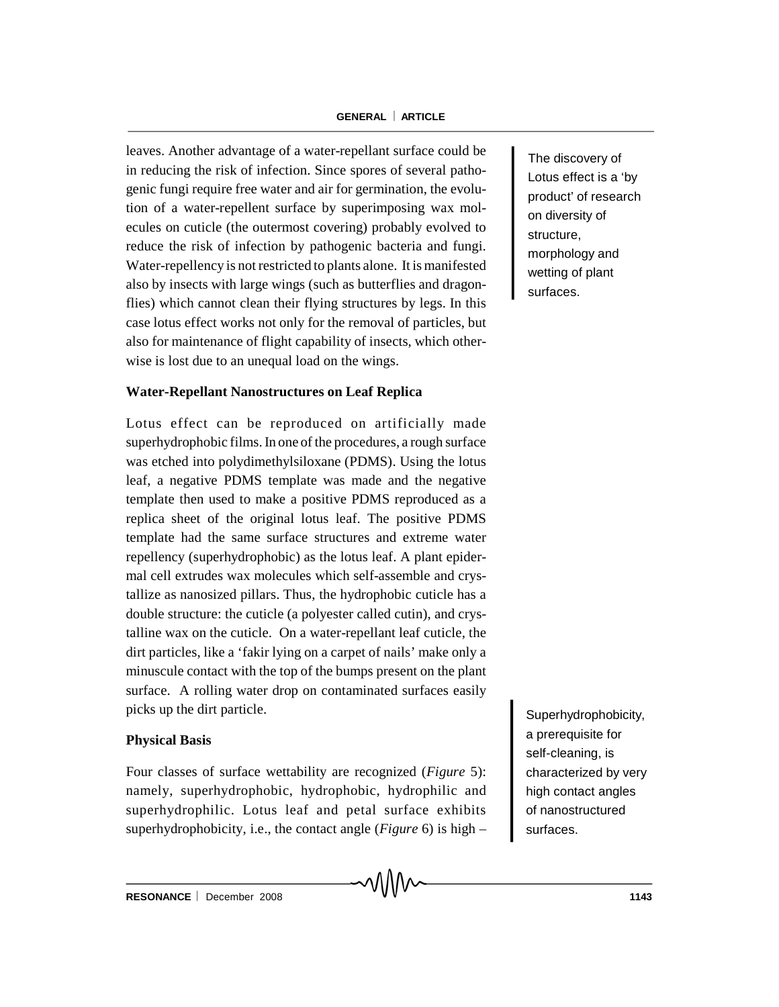## **GENERAL ARTICLE**

leaves. Another advantage of a water-repellant surface could be in reducing the risk of infection. Since spores of several pathogenic fungi require free water and air for germination, the evolution of a water-repellent surface by superimposing wax molecules on cuticle (the outermost covering) probably evolved to reduce the risk of infection by pathogenic bacteria and fungi. Water-repellency is not restricted to plants alone. It is manifested also by insects with large wings (such as butterflies and dragonflies) which cannot clean their flying structures by legs. In this case lotus effect works not only for the removal of particles, but also for maintenance of flight capability of insects, which otherwise is lost due to an unequal load on the wings.

# **Water-Repellant Nanostructures on Leaf Replica**

Lotus effect can be reproduced on artificially made superhydrophobic films. In one of the procedures, a rough surface was etched into polydimethylsiloxane (PDMS). Using the lotus leaf, a negative PDMS template was made and the negative template then used to make a positive PDMS reproduced as a replica sheet of the original lotus leaf. The positive PDMS template had the same surface structures and extreme water repellency (superhydrophobic) as the lotus leaf. A plant epidermal cell extrudes wax molecules which self-assemble and crystallize as nanosized pillars. Thus, the hydrophobic cuticle has a double structure: the cuticle (a polyester called cutin), and crystalline wax on the cuticle. On a water-repellant leaf cuticle, the dirt particles, like a 'fakir lying on a carpet of nails' make only a minuscule contact with the top of the bumps present on the plant surface. A rolling water drop on contaminated surfaces easily picks up the dirt particle.

## **Physical Basis**

Four classes of surface wettability are recognized (*Figure* 5): namely, superhydrophobic, hydrophobic, hydrophilic and superhydrophilic. Lotus leaf and petal surface exhibits superhydrophobicity, i.e., the contact angle (*Figure* 6) is high –

MMV

The discovery of Lotus effect is a 'by product' of research on diversity of structure, morphology and wetting of plant surfaces.

Superhydrophobicity, a prerequisite for self-cleaning, is characterized by very high contact angles of nanostructured surfaces.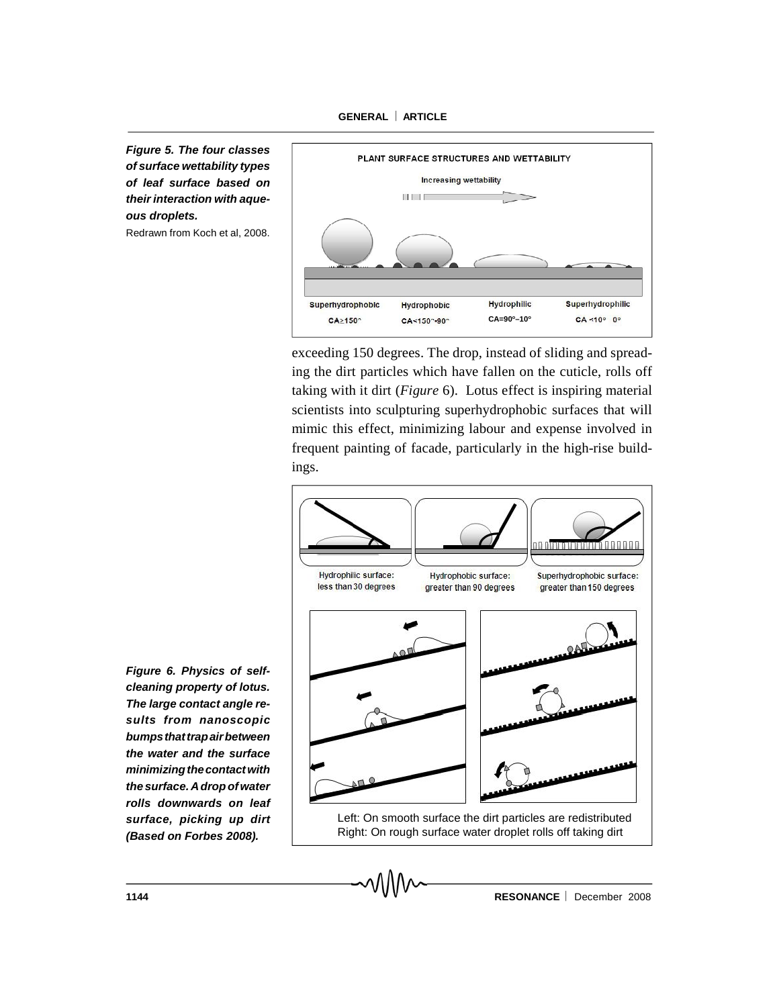**GENERAL ARTICLE**

*Figure 5. The four classes of surface wettability types of leaf surface based on their interaction with aqueous droplets.*

Redrawn from Koch et al, 2008.



exceeding 150 degrees. The drop, instead of sliding and spreading the dirt particles which have fallen on the cuticle, rolls off taking with it dirt (*Figure* 6). Lotus effect is inspiring material scientists into sculpturing superhydrophobic surfaces that will mimic this effect, minimizing labour and expense involved in frequent painting of facade, particularly in the high-rise buildings.



*Figure 6. Physics of selfcleaning property of lotus. The large contact angle results from nanoscopic bumpsthattrapairbetween the water and the surface minimizingthecontactwith the surface. Adrop of water rolls downwards on leaf surface, picking up dirt (Based on Forbes 2008).*

**1144 CONSERVANCE RESONANCE December 2008**